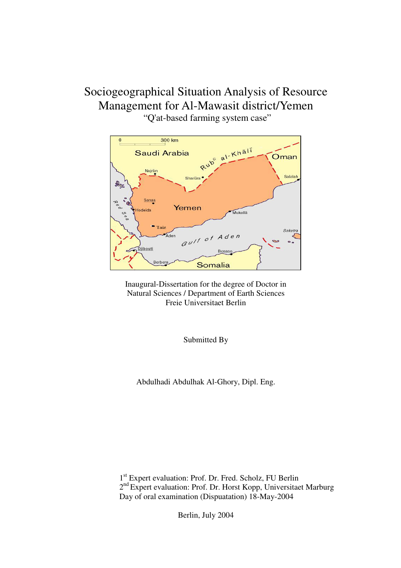# Sociogeographical Situation Analysis of Resource Management for Al-Mawasit district/Yemen "Q'at-based farming system case"





Submitted By

Abdulhadi Abdulhak Al-Ghory, Dipl. Eng.

1 st Expert evaluation: Prof. Dr. Fred. Scholz, FU Berlin 2<sup>nd</sup> Expert evaluation: Prof. Dr. Horst Kopp, Universitaet Marburg Day of oral examination (Dispuatation) 18-May-2004

Berlin, July 2004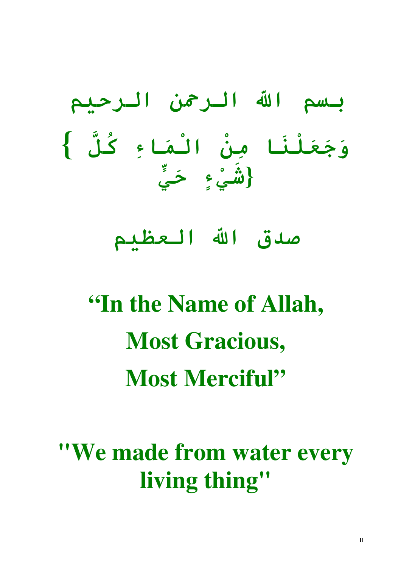بسم الله الرحمن الرحيم وَجَعَلْنَا مِنْ الْمَاءِ كُلَّ } {شَيْءٍ حَيٍّ

صدق الله العظيم

"In the Name of Allah, Most Gracious, Most Merciful"

"We made from water every living thing"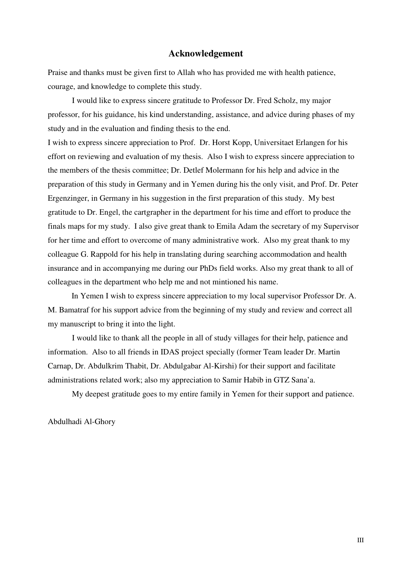#### Acknowledgement

Praise and thanks must be given first to Allah who has provided me with health patience, courage, and knowledge to complete this study.

I would like to express sincere gratitude to Professor Dr. Fred Scholz, my major professor, for his guidance, his kind understanding, assistance, and advice during phases of my study and in the evaluation and finding thesis to the end.

I wish to express sincere appreciation to Prof. Dr. Horst Kopp, Universitaet Erlangen for his effort on reviewing and evaluation of my thesis. Also I wish to express sincere appreciation to the members of the thesis committee; Dr. Detlef Molermann for his help and advice in the preparation of this study in Germany and in Yemen during his the only visit, and Prof. Dr. Peter Ergenzinger, in Germany in his suggestion in the first preparation of this study. My best gratitude to Dr. Engel, the cartgrapher in the department for his time and effort to produce the finals maps for my study. I also give great thank to Emila Adam the secretary of my Supervisor for her time and effort to overcome of many administrative work. Also my great thank to my colleague G. Rappold for his help in translating during searching accommodation and health insurance and in accompanying me during our PhDs field works. Also my great thank to all of colleagues in the department who help me and not mintioned his name.

 In Yemen I wish to express sincere appreciation to my local supervisor Professor Dr. A. M. Bamatraf for his support advice from the beginning of my study and review and correct all my manuscript to bring it into the light.

I would like to thank all the people in all of study villages for their help, patience and information. Also to all friends in IDAS project specially (former Team leader Dr. Martin Carnap, Dr. Abdulkrim Thabit, Dr. Abdulgabar Al-Kirshi) for their support and facilitate administrations related work; also my appreciation to Samir Habib in GTZ Sana'a.

My deepest gratitude goes to my entire family in Yemen for their support and patience.

Abdulhadi Al-Ghory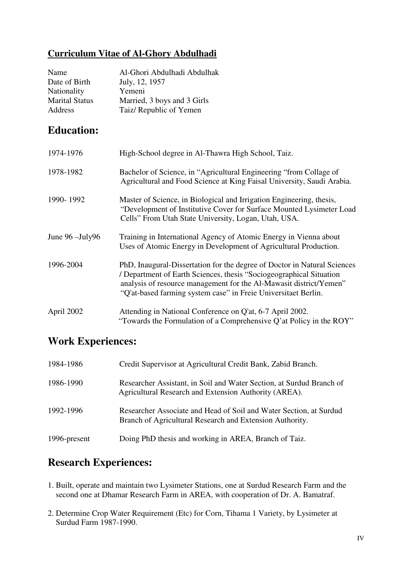#### Curriculum Vitae of Al-Ghory Abdulhadi

| Name                  | Al-Ghori Abdulhadi Abdulhak |
|-----------------------|-----------------------------|
| Date of Birth         | July, 12, 1957              |
| Nationality           | Yemeni                      |
| <b>Marital Status</b> | Married, 3 boys and 3 Girls |
| Address               | Taiz/ Republic of Yemen     |

## Education:

| 1974-1976                 | High-School degree in Al-Thawra High School, Taiz.                                                                                                                                                                                                                                       |
|---------------------------|------------------------------------------------------------------------------------------------------------------------------------------------------------------------------------------------------------------------------------------------------------------------------------------|
| 1978-1982                 | Bachelor of Science, in "Agricultural Engineering "from Collage of<br>Agricultural and Food Science at King Faisal University, Saudi Arabia.                                                                                                                                             |
| 1990-1992                 | Master of Science, in Biological and Irrigation Engineering, thesis,<br>"Development of Institutive Cover for Surface Mounted Lysimeter Load<br>Cells" From Utah State University, Logan, Utah, USA.                                                                                     |
| June $96 - \text{July}96$ | Training in International Agency of Atomic Energy in Vienna about<br>Uses of Atomic Energy in Development of Agricultural Production.                                                                                                                                                    |
| 1996-2004                 | PhD, Inaugural-Dissertation for the degree of Doctor in Natural Sciences<br>/ Department of Earth Sciences, thesis "Sociogeographical Situation"<br>analysis of resource management for the Al-Mawasit district/Yemen"<br>"Q'at-based farming system case" in Freie Universitaet Berlin. |
| April 2002                | Attending in National Conference on Q'at, 6-7 April 2002.<br>"Towards the Formulation of a Comprehensive Q'at Policy in the ROY"                                                                                                                                                         |

#### Work Experiences:

| 1984-1986    | Credit Supervisor at Agricultural Credit Bank, Zabid Branch.                                                                   |
|--------------|--------------------------------------------------------------------------------------------------------------------------------|
| 1986-1990    | Researcher Assistant, in Soil and Water Section, at Surdud Branch of<br>Agricultural Research and Extension Authority (AREA).  |
| 1992-1996    | Researcher Associate and Head of Soil and Water Section, at Surdud<br>Branch of Agricultural Research and Extension Authority. |
| 1996-present | Doing PhD thesis and working in AREA, Branch of Taiz.                                                                          |

# Research Experiences:

- 1. Built, operate and maintain two Lysimeter Stations, one at Surdud Research Farm and the second one at Dhamar Research Farm in AREA, with cooperation of Dr. A. Bamatraf.
- 2. Determine Crop Water Requirement (Etc) for Corn, Tihama 1 Variety, by Lysimeter at Surdud Farm 1987-1990.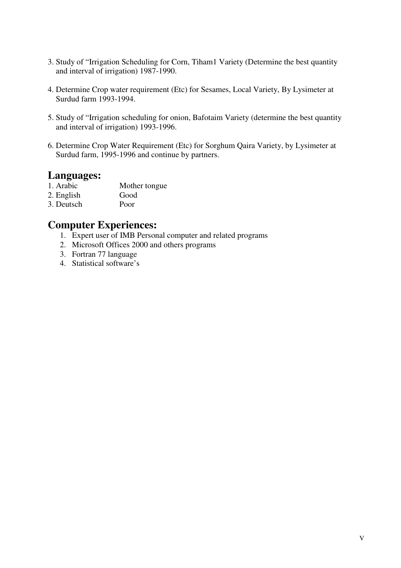- 3. Study of "Irrigation Scheduling for Corn, Tiham1 Variety (Determine the best quantity and interval of irrigation) 1987-1990.
- 4. Determine Crop water requirement (Etc) for Sesames, Local Variety, By Lysimeter at Surdud farm 1993-1994.
- 5. Study of "Irrigation scheduling for onion, Bafotaim Variety (determine the best quantity and interval of irrigation) 1993-1996.
- 6. Determine Crop Water Requirement (Etc) for Sorghum Qaira Variety, by Lysimeter at Surdud farm, 1995-1996 and continue by partners.

# **Languages:**<br>1. Arabic

- Mother tongue
- 2. English Good
- 3. Deutsch Poor

#### Computer Experiences:

- 1. Expert user of IMB Personal computer and related programs
- 2. Microsoft Offices 2000 and others programs
- 3. Fortran 77 language
- 4. Statistical software's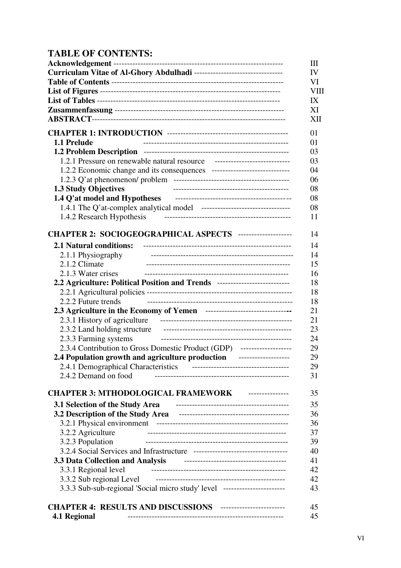#### TABLE OF CONTENTS:

|                                                                                                                                                                                                                                     | Ш           |
|-------------------------------------------------------------------------------------------------------------------------------------------------------------------------------------------------------------------------------------|-------------|
| Curriculam Vitae of Al-Ghory Abdulhadi ---------------------------------                                                                                                                                                            | IV          |
|                                                                                                                                                                                                                                     | VI          |
|                                                                                                                                                                                                                                     | <b>VIII</b> |
|                                                                                                                                                                                                                                     | IX          |
|                                                                                                                                                                                                                                     | XI          |
|                                                                                                                                                                                                                                     | XII         |
|                                                                                                                                                                                                                                     |             |
|                                                                                                                                                                                                                                     | 01          |
| 1.1 Prelude                                                                                                                                                                                                                         | 01          |
|                                                                                                                                                                                                                                     | 03          |
| 1.2.1 Pressure on renewable natural resource -----------------------------------                                                                                                                                                    | 03          |
|                                                                                                                                                                                                                                     | 04          |
|                                                                                                                                                                                                                                     | 06          |
| <b>1.3 Study Objectives</b>                                                                                                                                                                                                         | 08          |
| 1.4 Q'at model and Hypotheses <b>continuum</b> continuum contract and the problem of the contract of the contract of the contract of the contract of the contract of the contract of the contract of the contract of the contract o | 08          |
|                                                                                                                                                                                                                                     | 08          |
| 1.4.2 Research Hypothesis                                                                                                                                                                                                           | 11          |
|                                                                                                                                                                                                                                     |             |
| CHAPTER 2: SOCIOGEOGRAPHICAL ASPECTS ---------------------                                                                                                                                                                          | 14          |
| <b>2.1 Natural conditions:</b>                                                                                                                                                                                                      | 14          |
| 2.1.1 Physiography                                                                                                                                                                                                                  | 14          |
| 2.1.2 Climate                                                                                                                                                                                                                       | 15          |
| 2.1.3 Water crises                                                                                                                                                                                                                  | 16          |
| 2.2 Agriculture: Political Position and Trends ---------------------------                                                                                                                                                          | 18          |
|                                                                                                                                                                                                                                     | 18          |
| 2.2.2 Future trends                                                                                                                                                                                                                 | 18          |
| 2.3 Agriculture in the Economy of Yemen -------------------------------                                                                                                                                                             | 21          |
|                                                                                                                                                                                                                                     | 21          |
|                                                                                                                                                                                                                                     | 23          |
| 2.3.3 Farming systems                                                                                                                                                                                                               | 24          |
| 2.3.4 Contribution to Gross Domestic Product (GDP) --------------------                                                                                                                                                             | 29          |
| 2.4 Population growth and agriculture production --------------------                                                                                                                                                               | 29          |
| 2.4.1 Demographical Characteristics<br>------------------------------------                                                                                                                                                         | 29          |
| 2.4.2 Demand on food                                                                                                                                                                                                                | 31          |
|                                                                                                                                                                                                                                     |             |
| CHAPTER 3: MTHODOLOGICAL FRAMEWORK ----------------                                                                                                                                                                                 | 35          |
| 3.1 Selection of the Study Area <b>Face Act 100</b> and 100 and 100 and 100 and 100 and 100 and 100 and 100 and 100 and 100 and 100 and 100 and 100 and 100 and 100 and 100 and 100 and 100 and 100 and 100 and 100 and 100 and 100 | 35          |
|                                                                                                                                                                                                                                     | 36          |
|                                                                                                                                                                                                                                     | 36          |
| 3.2.2 Agriculture                                                                                                                                                                                                                   | 37          |
| 3.2.3 Population                                                                                                                                                                                                                    | 39          |
|                                                                                                                                                                                                                                     | 40          |
|                                                                                                                                                                                                                                     | 41          |
| 3.3 Data Collection and Analysis Frame Allen Analysis All Analysis                                                                                                                                                                  | 42          |
| 3.3.1 Regional level                                                                                                                                                                                                                | 42          |
| 3.3.2 Sub regional Level                                                                                                                                                                                                            |             |
| 3.3.3 Sub-sub-regional 'Social micro study' level ------------------------                                                                                                                                                          | 43          |
|                                                                                                                                                                                                                                     |             |
| CHAPTER 4: RESULTS AND DISCUSSIONS -------------------------                                                                                                                                                                        | 45<br>45    |
| 4.1 Regional                                                                                                                                                                                                                        |             |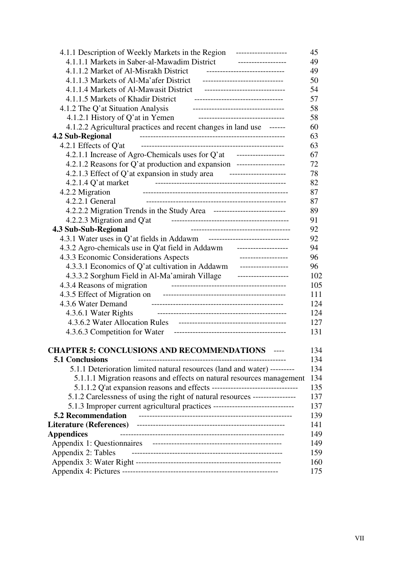| 4.1.1 Description of Weekly Markets in the Region<br>-------------------         | 45  |
|----------------------------------------------------------------------------------|-----|
| 4.1.1.1 Markets in Saber-al-Mawadim District                                     | 49  |
| 4.1.1.2 Market of Al-Misrakh District<br>------------------------------          | 49  |
| 4.1.1.3 Markets of Al-Ma'afer District<br>-------------------------------        | 50  |
| 4.1.1.4 Markets of Al-Mawasit District                                           | 54  |
| 4.1.1.5 Markets of Khadir District<br>----------------------------------         | 57  |
| 4.1.2 The Q'at Situation Analysis<br>-----------------------------------         | 58  |
| 4.1.2.1 History of Q'at in Yemen<br>--------------------------------             | 58  |
| 4.1.2.2 Agricultural practices and recent changes in land use ------             | 60  |
| 4.2 Sub-Regional                                                                 | 63  |
| 4.2.1 Effects of Q'at                                                            | 63  |
| 4.2.1.1 Increase of Agro-Chemicals uses for Q'at -------------------             | 67  |
| 4.2.1.2 Reasons for Q'at production and expansion -------------------            | 72  |
| 4.2.1.3 Effect of Q'at expansion in study area<br>---------------------          | 78  |
| $4.2.1.4$ Q'at market                                                            | 82  |
| 4.2.2 Migration                                                                  | 87  |
| $4.2.2.1$ General                                                                | 87  |
| 4.2.2.2 Migration Trends in the Study Area ----------------------------          | 89  |
| 4.2.2.3 Migration and Q'at                                                       | 91  |
| 4.3 Sub-Sub-Regional<br>-------------------------------------                    | 92  |
|                                                                                  | 92  |
| 4.3.2 Agro-chemicals use in Q'at field in Addawm ---------------------           | 94  |
| 4.3.3 Economic Considerations Aspects<br>___________________                     | 96  |
| 4.3.3.1 Economics of Q'at cultivation in Addawm -------------------              | 96  |
| 4.3.3.2 Sorghum Field in Al-Ma'amirah Village<br>--------------------            | 102 |
| 4.3.4 Reasons of migration                                                       | 105 |
| 4.3.5 Effect of Migration on                                                     | 111 |
| 4.3.6 Water Demand                                                               | 124 |
| 4.3.6.1 Water Rights                                                             | 124 |
|                                                                                  | 127 |
| 4.3.6.3 Competition for Water                                                    | 131 |
|                                                                                  |     |
| <b>CHAPTER 5: CONCLUSIONS AND RECOMMENDATIONS</b>                                | 134 |
| <b>5.1 Conclusions</b>                                                           | 134 |
| 5.1.1 Deterioration limited natural resources (land and water) ---------         | 134 |
| 5.1.1.1 Migration reasons and effects on natural resources management            | 134 |
|                                                                                  | 135 |
| 5.1.2 Carelessness of using the right of natural resources ----------------      | 137 |
| 5.1.3 Improper current agricultural practices ---------------------------------- | 137 |
| <b>5.2 Recommendation</b>                                                        | 139 |
|                                                                                  | 141 |
| <b>Appendices</b>                                                                | 149 |
|                                                                                  | 149 |
| Appendix 2: Tables                                                               | 159 |
|                                                                                  | 160 |
|                                                                                  | 175 |
|                                                                                  |     |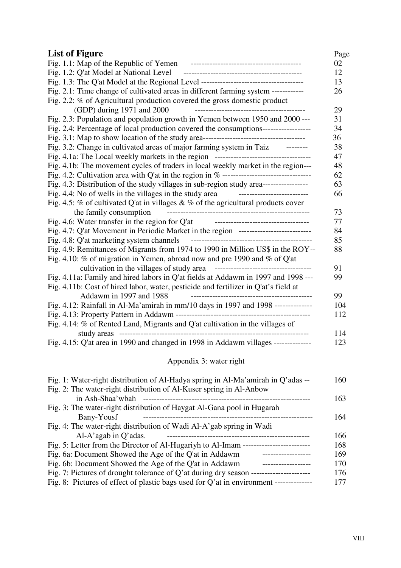| <b>List of Figure</b>                                                                  | Page |
|----------------------------------------------------------------------------------------|------|
|                                                                                        | 02   |
|                                                                                        | 12   |
|                                                                                        | 13   |
| Fig. 2.1: Time change of cultivated areas in different farming system -----------      | 26   |
| Fig. 2.2: $%$ of Agricultural production covered the gross domestic product            |      |
| (GDP) during 1971 and 2000                                                             | 29   |
| Fig. 2.3: Population and population growth in Yemen between 1950 and 2000 ---          | 31   |
| Fig. 2.4: Percentage of local production covered the consumptions-----------------     | 34   |
|                                                                                        | 36   |
| Fig. 3.2: Change in cultivated areas of major farming system in Taiz --------          | 38   |
|                                                                                        | 47   |
| Fig. 4.1b: The movement cycles of traders in local weekly market in the region---      | 48   |
|                                                                                        | 62   |
| Fig. 4.3: Distribution of the study villages in sub-region study area----------------- | 63   |
| Fig. 4.4: No of wells in the villages in the study area<br>--------------------------  | 66   |
| Fig. 4.5: % of cultivated Q'at in villages & % of the agricultural products cover      |      |
| the family consumption                                                                 | 73   |
| Fig. 4.6: Water transfer in the region for Q'at _________________________________      | 77   |
| Fig. 4.7: Q'at Movement in Periodic Market in the region ---------------------------   | 84   |
| Fig. 4.8: Q'at marketing system channels                                               | 85   |
| Fig. 4.9: Remittances of Migrants from 1974 to 1990 in Million US\$ in the ROY--       | 88   |
| Fig. 4.10: % of migration in Yemen, abroad now and pre 1990 and % of Q'at              |      |
|                                                                                        | 91   |
| Fig. 4.11a: Family and hired labors in Q'at fields at Addawm in 1997 and 1998 ---      | 99   |
| Fig. 4.11b: Cost of hired labor, water, pesticide and fertilizer in Q'at's field at    |      |
| Addawm in 1997 and 1988                                                                | 99   |
| Fig. 4.12: Rainfall in Al-Ma'amirah in mm/10 days in 1997 and 1998 --------------      | 104  |
|                                                                                        | 112  |
| Fig. 4.14: % of Rented Land, Migrants and Q'at cultivation in the villages of          |      |
|                                                                                        | 114  |
| Fig. 4.15: Q'at area in 1990 and changed in 1998 in Addawm villages --------------     | 123  |
| Appendix 3: water right                                                                |      |

| Fig. 1: Water-right distribution of Al-Hadya spring in Al-Ma'amirah in Q'adas --       | 160 |
|----------------------------------------------------------------------------------------|-----|
| Fig. 2: The water-right distribution of Al-Kuser spring in Al-Anbow                    |     |
| in Ash-Shaa'wbah                                                                       | 163 |
| Fig. 3: The water-right distribution of Haygat Al-Gana pool in Hugarah                 |     |
| Bany-Yousf<br>----------------------------------                                       | 164 |
| Fig. 4: The water-right distribution of Wadi Al-A'gab spring in Wadi                   |     |
| $Al-A'agab$ in Q'adas.                                                                 | 166 |
| Fig. 5: Letter from the Director of Al-Hugariyh to Al-Imam --                          | 168 |
| Fig. 6a: Document Showed the Age of the Q'at in Addawm                                 | 169 |
| Fig. 6b: Document Showed the Age of the Q'at in Addawm<br>--------------               | 170 |
| Fig. 7: Pictures of drought tolerance of $Q'$ at during dry season -                   | 176 |
| Fig. 8: Pictures of effect of plastic bags used for Q'at in environment -------------- | 177 |
|                                                                                        |     |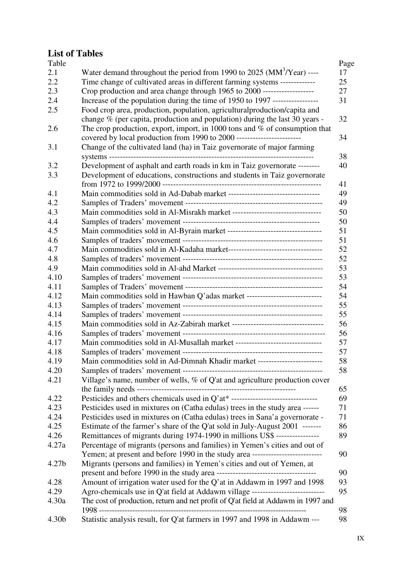#### List of Tables

| Table |                                                                                   |
|-------|-----------------------------------------------------------------------------------|
| 2.1   | Water demand throughout the period from 1990 to 2025 ( $MM^3/Year$ ) ----         |
| 2.2   | Time change of cultivated areas in different farming systems --------------       |
| 2.3   | Crop production and area change through 1965 to 2000 -------------------          |
| 2.4   | Increase of the population during the time of 1950 to 1997 ------------------     |
| 2.5   | Food crop area, production, population, agricultural production/capita and        |
|       | change $\%$ (per capita, production and population) during the last 30 years -    |
| 2.6   | The crop production, export, import, in 1000 tons and $%$ of consumption that     |
|       |                                                                                   |
| 3.1   | Change of the cultivated land (ha) in Taiz governorate of major farming           |
|       |                                                                                   |
| 3.2   | Development of asphalt and earth roads in km in Taiz governorate --------         |
| 3.3   | Development of educations, constructions and students in Taiz governorate         |
|       |                                                                                   |
| 4.1   |                                                                                   |
| 4.2   |                                                                                   |
| 4.3   |                                                                                   |
| 4.4   |                                                                                   |
| 4.5   |                                                                                   |
| 4.6   |                                                                                   |
| 4.7   |                                                                                   |
| 4.8   |                                                                                   |
| 4.9   |                                                                                   |
| 4.10  |                                                                                   |
| 4.11  |                                                                                   |
| 4.12  | Main commodities sold in Hawban Q'adas market -----------------------------       |
| 4.13  |                                                                                   |
| 4.14  |                                                                                   |
| 4.15  |                                                                                   |
| 4.16  |                                                                                   |
| 4.17  |                                                                                   |
| 4.18  |                                                                                   |
| 4.19  | Main commodities sold in Ad-Dimnah Khadir market ------                           |
| 4.20  |                                                                                   |
| 4.21  | Village's name, number of wells, % of Q'at and agriculture production cover       |
|       |                                                                                   |
| 4.22  | Pesticides and others chemicals used in Q'at* ----------------------------------  |
| 4.23  | Pesticides used in mixtures on (Catha edulas) trees in the study area ------      |
| 4.24  | Pesticides used in mixtures on (Catha edulas) trees in Sana'a governorate -       |
| 4.25  | Estimate of the farmer's share of the Q'at sold in July-August 2001 -------       |
| 4.26  | Remittances of migrants during 1974-1990 in millions US\$ ----------------        |
| 4.27a | Percentage of migrants (persons and families) in Yemen's cities and out of        |
|       | Yemen; at present and before 1990 in the study area ----------------------------  |
| 4.27b | Migrants (persons and families) in Yemen's cities and out of Yemen, at            |
|       |                                                                                   |
| 4.28  | Amount of irrigation water used for the Q'at in Addawm in 1997 and 1998           |
| 4.29  | Agro-chemicals use in Q'at field at Addawm village -----------------------------  |
| 4.30a | The cost of production, return and net profit of Q'at field at Addawm in 1997 and |
|       |                                                                                   |
| 4.30b | Statistic analysis result, for Q'at farmers in 1997 and 1998 in Addawm ---        |
|       |                                                                                   |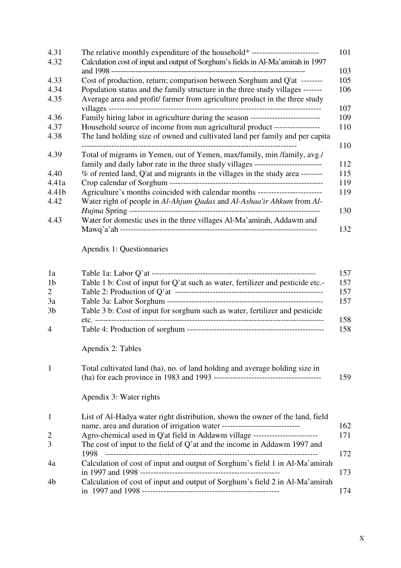| 4.31  | The relative monthly expenditure of the household* ------------------------------ | 101 |
|-------|-----------------------------------------------------------------------------------|-----|
| 4.32  | Calculation cost of input and output of Sorghum's fields in Al-Ma'amirah in 1997  | 103 |
| 4.33  | Cost of production, return; comparison between Sorghum and Q'at -------           | 105 |
| 4.34  | Population status and the family structure in the three study villages -------    | 106 |
| 4.35  | Average area and profit/farmer from agriculture product in the three study        |     |
|       |                                                                                   | 107 |
| 4.36  | Family hiring labor in agriculture during the season ---------------------------  | 109 |
| 4.37  | Household source of income from nun agricultural product -----------------        | 110 |
| 4.38  | The land holding size of owned and cultivated land per family and per capita      |     |
|       |                                                                                   | 110 |
| 4.39  | Total of migrants in Yemen, out of Yemen, max/family, min/family, avg./           |     |
|       | family and daily labor rate in the three study villages ------------------------- | 112 |
| 4.40  | % of rented land, Q'at and migrants in the villages in the study area --------    | 115 |
| 4.41a |                                                                                   | 119 |
| 4.41b | Agriculture's months coincided with calendar months ----------------------------  | 119 |
| 4.42  | Water right of people in Al-Ahjum Qadas and Al-Ashaa'ir Ahkum from Al-            |     |
|       |                                                                                   | 130 |
| 4.43  | Water for domestic uses in the three villages Al-Ma'amirah, Addawm and            |     |
|       |                                                                                   | 132 |

# Apendix 1: Questionnaries

| 1a             |                                                                                | 157 |
|----------------|--------------------------------------------------------------------------------|-----|
| 1 <sub>b</sub> | Table 1 b: Cost of input for Q'at such as water, fertilizer and pesticide etc. | 157 |
| $\overline{2}$ |                                                                                | 157 |
| 3a             |                                                                                | 157 |
| 3 <sub>b</sub> | Table 3 b: Cost of input for sorghum such as water, fertilizer and pesticide   |     |
|                |                                                                                | 158 |
| 4              |                                                                                | 158 |
|                | Apendix 2: Tables                                                              |     |

| Total cultivated land (ha), no. of land holding and average holding size in |     |
|-----------------------------------------------------------------------------|-----|
|                                                                             | 159 |

Apendix 3: Water rights

| 1              | List of Al-Hadya water right distribution, shown the owner of the land, field   |      |
|----------------|---------------------------------------------------------------------------------|------|
|                |                                                                                 | 162  |
| $\overline{2}$ | Agro-chemical used in Q'at field in Addawm village ---------------------------- | 171  |
| 3              | The cost of input to the field of Q'at and the income in Addawm 1997 and        |      |
|                | 1998.                                                                           | 172. |
| 4a             | Calculation of cost of input and output of Sorghum's field 1 in Al-Ma'amirah    |      |
|                |                                                                                 | 173  |
| 4 <sub>b</sub> | Calculation of cost of input and output of Sorghum's field 2 in Al-Ma'amirah    |      |
|                |                                                                                 | 174  |
|                |                                                                                 |      |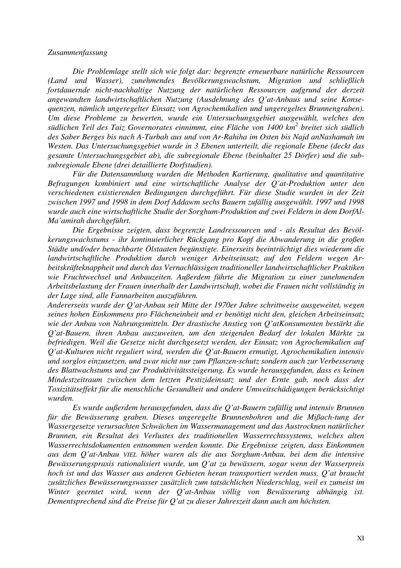#### Zusammenfassung

Die Problemlage stellt sich wie folgt dar: begrenzte erneuerbare natürliche Ressourcen (Land und Wasser), zunehmendes Bevölkerungswachstum, Migration und schließlich fortdauernde nicht-nachhaltige Nutzung der natürlichen Ressourcen aufgrund der derzeit angewandten landwirtschaftlichen Nutzung (Ausdehnung des Q'at-Anbaus und seine Konsequenzen, nämlich ungeregelter Einsatz von Agrochemikalien und ungeregeltes Brunnengraben). Um diese Probleme zu bewerten, wurde ein Untersuchungsgebiet ausgewählt, welches den südlichen Teil des Taiz Governorates einnimmt, eine Fläche von 1400 km<sup>2</sup> breitet sich südlich des Saber Berges bis nach A-Turbah aus und von Ar-Rahiha im Osten bis Najd anNashamah im Westen. Das Untersuchungsgebiet wurde in 3 Ebenen unterteilt, die regionale Ebene (deckt das gesamte Untersuchungsgebiet ab), die subregionale Ebene (beinhaltet 25 Dörfer) und die subsubregionale Ebene (drei detaillierte Dorfstudien).

Für die Datensammlung wurden die Methoden Kartierung, qualitative und quantitative Befragungen kombiniert und eine wirtschaftliche Analyse der Q'at-Produktion unter den verschiedenen existierenden Bedingungen durchgeführt. Für diese Studie wurden in der Zeit zwischen 1997 und 1998 in dem Dorf Addawm sechs Bauern zufällig ausgewählt. 1997 und 1998 wurde auch eine wirtschaftliche Studie der Sorghum-Produktion auf zwei Feldern in dem DorfAl-Ma'amirah durchgeführt.

Die Ergebnisse zeigten, dass begrenzte Landressourcen und - als Resultat des Bevölkerungswachstums - ihr kontinuierlicher Rückgang pro Kopf die Abwanderung in die großen Städte und/oder benachbarte Ölstaaten begünstigte. Einerseits beeinträchtigt dies wiederum die landwirtschaftliche Produktion durch weniger Arbeitseinsatz auf den Feldern wegen Arbeitskräfteknappheit und durch das Vernachlässigen traditioneller landwirtschaftlicher Praktiken wie Fruchtwechsel und Anbauzeiten. Außerdem führte die Migration zu einer zunehmenden Arbeitsbelastung der Frauen innerhalb der Landwirtschaft, wobei die Frauen nicht vollständig in der Lage sind, alle Fannarbeiten auszuführen.

Andererseits wurde der Q'at-Anbau seit Mitte der 1970er Jahre schrittweise ausgeweitet, wegen seines hohen Einkommens pro Flächeneinheit und er benötigt nicht den, gleichen Arbeitseinsatz wie der Anbau von Nahrungsmitteln. Der drastische Anstieg von Q'atKonsumenten bestärkt die Q'at-Bauern, ihren Anbau auszuweiten, um den steigenden Bedarf der lokalen Märkte zu befriedigen. Weil die Gesetze nicht durchgesetzt werden, der Einsatz von Agrochemikalien auf Q'at-Kulturen nicht reguliert wird, werden die Q'at-Bauern ermutigt, Agrochemikalien intensiv und sorglos einzusetzen, und zwar nicht nur zum Pflanzen-schutz sondern auch zur Verbesserung des Blattwachstums und zur Produktivitätssteigerung. Es wurde herausgefunden, dass es keinen Mindestzeitraum zwischen dem letzten Pestizideinsatz und der Ernte gab, noch dass der Toxizitätseffekt für die menschliche Gesundheit und andere Umweitschädigungen berücksichtigt wurden.

Es wurde außerdem herausgefunden, dass die Q'at-Bauern zufällig und intensiv Brunnen für die Bewässerung graben. Dieses ungeregelte Brunnenbohren und die Mißach-tung der Wassergesetze verursachten Schwächen im Wassermanagement und das Austrocknen natürlicher Brunnen, ein Resultat des Verlustes des traditionellen Wasserrechtssystems, welches alten Wasserrechtsdokumenten entnommen werden konnte. Die Ergebnisse zeigten, dass Einkommen aus dem Q'at-Anbau VIEL höher waren als die aus Sorghum-Anbau, bei dem die intensive Bewässerungspraxis rationalisiert wurde, um Q'at zu bewässern, sogar wenn der Wasserpreis hoch ist und das Wasser aus anderen Gebieten heran transportiert werden muss. Q'at braucht zusätzliches Bewässerungswasser zusätzlich zum tatsächlichen Niederschlag, weil es zumeist im Winter geerntet wird, wenn der Q'at-Anbau völlig von Bewässerung abhängig ist. Dementsprechend sind die Preise für Q'at zu dieser Jahreszeit dann auch am höchsten.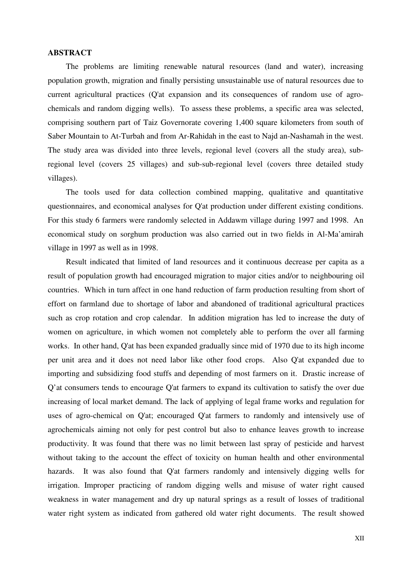#### ABSTRACT

The problems are limiting renewable natural resources (land and water), increasing population growth, migration and finally persisting unsustainable use of natural resources due to current agricultural practices (Q'at expansion and its consequences of random use of agrochemicals and random digging wells). To assess these problems, a specific area was selected, comprising southern part of Taiz Governorate covering 1,400 square kilometers from south of Saber Mountain to At-Turbah and from Ar-Rahidah in the east to Najd an-Nashamah in the west. The study area was divided into three levels, regional level (covers all the study area), subregional level (covers 25 villages) and sub-sub-regional level (covers three detailed study villages).

The tools used for data collection combined mapping, qualitative and quantitative questionnaires, and economical analyses for Q'at production under different existing conditions. For this study 6 farmers were randomly selected in Addawm village during 1997 and 1998. An economical study on sorghum production was also carried out in two fields in Al-Ma'amirah village in 1997 as well as in 1998.

Result indicated that limited of land resources and it continuous decrease per capita as a result of population growth had encouraged migration to major cities and/or to neighbouring oil countries. Which in turn affect in one hand reduction of farm production resulting from short of effort on farmland due to shortage of labor and abandoned of traditional agricultural practices such as crop rotation and crop calendar. In addition migration has led to increase the duty of women on agriculture, in which women not completely able to perform the over all farming works. In other hand, Q'at has been expanded gradually since mid of 1970 due to its high income per unit area and it does not need labor like other food crops. Also Q'at expanded due to importing and subsidizing food stuffs and depending of most farmers on it. Drastic increase of Q'at consumers tends to encourage Q'at farmers to expand its cultivation to satisfy the over due increasing of local market demand. The lack of applying of legal frame works and regulation for uses of agro-chemical on Q'at; encouraged Q'at farmers to randomly and intensively use of agrochemicals aiming not only for pest control but also to enhance leaves growth to increase productivity. It was found that there was no limit between last spray of pesticide and harvest without taking to the account the effect of toxicity on human health and other environmental hazards. It was also found that Q'at farmers randomly and intensively digging wells for irrigation. Improper practicing of random digging wells and misuse of water right caused weakness in water management and dry up natural springs as a result of losses of traditional water right system as indicated from gathered old water right documents. The result showed